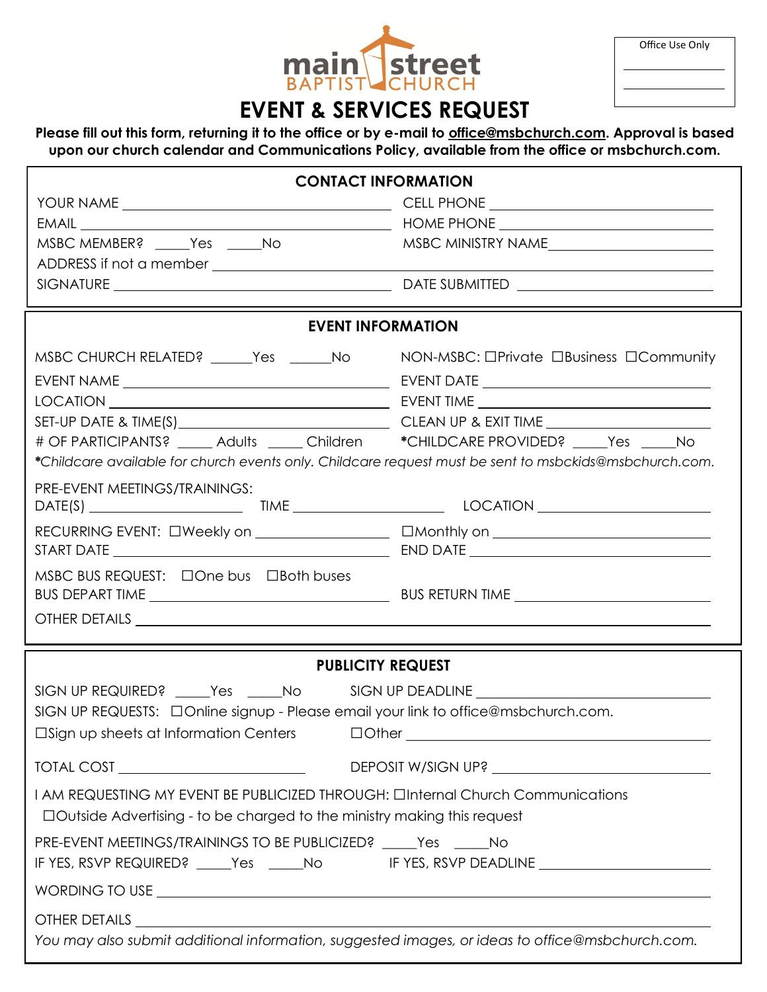| <b>main street</b> |  |
|--------------------|--|
|                    |  |

| Office Use Only |  |  |
|-----------------|--|--|
|-----------------|--|--|

## **EVENT & SERVICES REQUEST**

## **Please fill out this form, returning it to the office or by e-mail to [office@msbchurch.com.](mailto:office@msbchurch.com) Approval is based upon our church calendar and Communications Policy, available from the office or msbchurch.com.**

| <b>CONTACT INFORMATION</b>                                                                                                                                               |                    |  |
|--------------------------------------------------------------------------------------------------------------------------------------------------------------------------|--------------------|--|
|                                                                                                                                                                          |                    |  |
|                                                                                                                                                                          |                    |  |
| MSBC MEMBER? _____Yes _____No                                                                                                                                            | MSBC MINISTRY NAME |  |
|                                                                                                                                                                          |                    |  |
|                                                                                                                                                                          |                    |  |
| <b>EVENT INFORMATION</b>                                                                                                                                                 |                    |  |
| MSBC CHURCH RELATED? _____Yes _____No MON-MSBC: OPrivate OBusiness OCommunity                                                                                            |                    |  |
|                                                                                                                                                                          |                    |  |
|                                                                                                                                                                          |                    |  |
|                                                                                                                                                                          |                    |  |
| # OF PARTICIPANTS? _____ Adults _____ Children *CHILDCARE PROVIDED? Yes No                                                                                               |                    |  |
| *Childcare available for church events only. Childcare request must be sent to msbckids@msbchurch.com.                                                                   |                    |  |
| PRE-EVENT MEETINGS/TRAININGS:                                                                                                                                            |                    |  |
|                                                                                                                                                                          |                    |  |
|                                                                                                                                                                          |                    |  |
|                                                                                                                                                                          |                    |  |
| MSBC BUS REQUEST: □One bus □Both buses                                                                                                                                   |                    |  |
|                                                                                                                                                                          |                    |  |
|                                                                                                                                                                          |                    |  |
| <b>PUBLICITY REQUEST</b>                                                                                                                                                 |                    |  |
| SIGN UP REQUIRED? _____Yes _____No SIGN UP DEADLINE ____________________________                                                                                         |                    |  |
| SIGN UP REQUESTS: $\Box$ Online signup - Please email your link to office@msbchurch.com.                                                                                 |                    |  |
| $\Box$ Sign up sheets at Information Centers $\Box$ Other $\Box$                                                                                                         |                    |  |
|                                                                                                                                                                          |                    |  |
|                                                                                                                                                                          |                    |  |
| I AM REQUESTING MY EVENT BE PUBLICIZED THROUGH: <b>OInternal Church Communications</b><br>$\Box$ Outside Advertising - to be charged to the ministry making this request |                    |  |
| PRE-EVENT MEETINGS/TRAININGS TO BE PUBLICIZED? _____ Yes ______ No                                                                                                       |                    |  |
| IF YES, RSVP REQUIRED? _____Yes _____No IF YES, RSVP DEADLINE __________________                                                                                         |                    |  |
|                                                                                                                                                                          |                    |  |
|                                                                                                                                                                          |                    |  |
| You may also submit additional information, suggested images, or ideas to office@msbchurch.com.                                                                          |                    |  |
|                                                                                                                                                                          |                    |  |